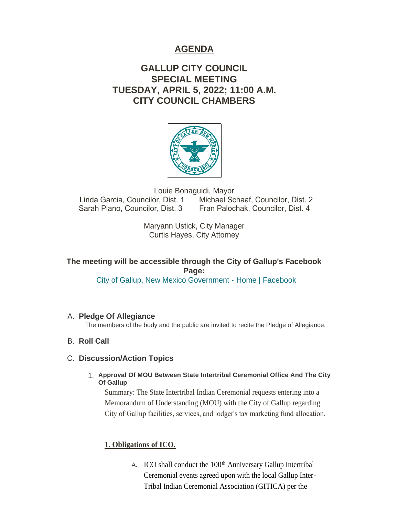# **AGENDA**

# **GALLUP CITY COUNCIL SPECIAL MEETING TUESDAY, APRIL 5, 2022; 11:00 A.M. CITY COUNCIL CHAMBERS**



Louie Bonaguidi, Mayor Linda Garcia, Councilor, Dist. 1 Michael Schaaf, Councilor, Dist. 2 Sarah Piano, Councilor, Dist. 3 Fran Palochak, Councilor, Dist. 4

> Maryann Ustick, City Manager Curtis Hayes, City Attorney

## **The meeting will be accessible through the City of Gallup's Facebook Page:**

[City of Gallup, New Mexico Government - Home | Facebook](https://www.facebook.com/CityOfGallup)

## **Pledge Of Allegiance** A.

The members of the body and the public are invited to recite the Pledge of Allegiance.

**B.** Roll Call

## **Discussion/Action Topics** C.

**Approval Of MOU Between State Intertribal Ceremonial Office And The City**  1. **Of Gallup**

Summary: The State Intertribal Indian Ceremonial requests entering into a Memorandum of Understanding (MOU) with the City of Gallup regarding City of Gallup facilities, services, and lodger's tax marketing fund allocation.

## **1. Obligations of ICO.**

A. ICO shall conduct the  $100<sup>th</sup>$  Anniversary Gallup Intertribal Ceremonial events agreed upon with the local Gallup Inter-Tribal Indian Ceremonial Association (GITICA) per the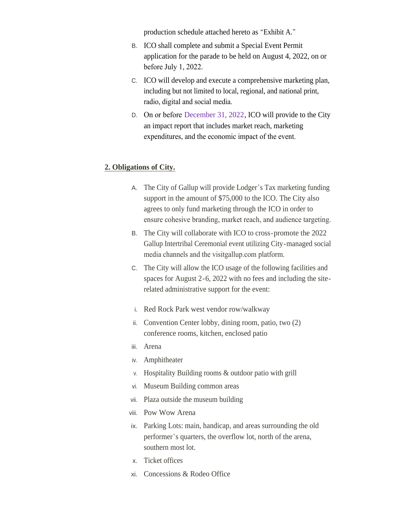production schedule attached hereto as "Exhibit A."

- B. ICO shall complete and submit a Special Event Permit application for the parade to be held on August 4, 2022, on or before July 1, 2022.
- C. ICO will develop and execute a comprehensive marketing plan, including but not limited to local, regional, and national print, radio, digital and social media.
- D. On or before December 31, 2022, ICO will provide to the City an impact report that includes market reach, marketing expenditures, and the economic impact of the event.

#### **2. Obligations of City.**

- A. The City of Gallup will provide Lodger's Tax marketing funding support in the amount of \$75,000 to the ICO. The City also agrees to only fund marketing through the ICO in order to ensure cohesive branding, market reach, and audience targeting.
- B. The City will collaborate with ICO to cross-promote the 2022 Gallup Intertribal Ceremonial event utilizing City-managed social media channels and the visitgallup.com platform.
- C. The City will allow the ICO usage of the following facilities and spaces for August 2-6, 2022 with no fees and including the siterelated administrative support for the event:
- i. Red Rock Park west vendor row/walkway
- ii. Convention Center lobby, dining room, patio, two (2) conference rooms, kitchen, enclosed patio
- iii. Arena
- iv. Amphitheater
- v. Hospitality Building rooms & outdoor patio with grill
- vi. Museum Building common areas
- vii. Plaza outside the museum building
- viii. Pow Wow Arena
- ix. Parking Lots: main, handicap, and areas surrounding the old performer's quarters, the overflow lot, north of the arena, southern most lot.
- x. Ticket offices
- xi. Concessions & Rodeo Office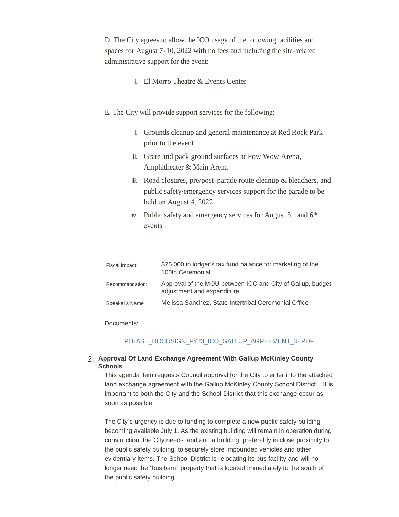D. The City agrees to allow the ICO usage of the following facilities and spaces for August 7-10, 2022 with no fees and including the site-related administrative support for the event:

- i. El Morro Theatre & Events Center
- E. The City will provide support services for the following:
	- i. Grounds cleanup and general maintenance at Red Rock Park prior to the event
	- ii. Grate and pack ground surfaces at Pow Wow Arena, Amphitheater & Main Arena
	- iii. Road closures, pre/post-parade route cleanup & bleachers, and public safety/emergency services support for the parade to be held on August 4, 2022.
	- iv. Public safety and emergency services for August  $5<sup>th</sup>$  and  $6<sup>th</sup>$ events.

| Fiscal Impact:  | \$75,000 in lodger's tax fund balance for marketing of the<br>100th Ceremonial           |
|-----------------|------------------------------------------------------------------------------------------|
| Recommendation: | Approval of the MOU between ICO and City of Gallup, budget<br>adjustment and expenditure |
| Speaker's Name  | Melissa Sanchez, State Intertribal Ceremonial Office                                     |

Documents:

#### [PLEASE\\_DOCUSIGN\\_FY23\\_ICO\\_GALLUP\\_AGREEMENT\\_3-.PDF](https://www.gallupnm.gov/AgendaCenter/ViewFile/Item/2909?fileID=12511)

#### **Approval Of Land Exchange Agreement With Gallup McKinley County**  2. **Schools**

This agenda item requests Council approval for the City to enter into the attached land exchange agreement with the Gallup McKinley County School District. It is important to both the City and the School District that this exchange occur as soon as possible.

The City's urgency is due to funding to complete a new public safety building becoming available July 1. As the existing building will remain in operation during construction, the City needs land and a building, preferably in close proximity to the public safety building, to securely store impounded vehicles and other evidentiary items. The School District is relocating its bus facility and will no longer need the "bus barn" property that is located immediately to the south of the public safety building.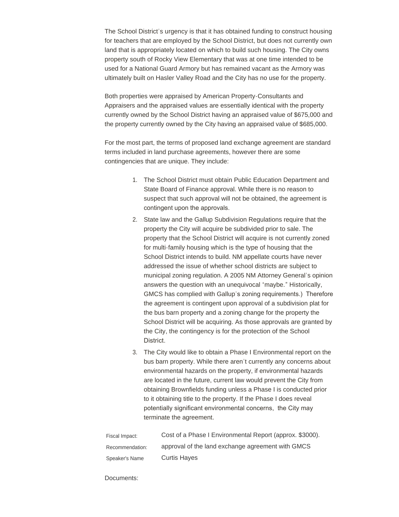The School District's urgency is that it has obtained funding to construct housing for teachers that are employed by the School District, but does not currently own land that is appropriately located on which to build such housing. The City owns property south of Rocky View Elementary that was at one time intended to be used for a National Guard Armory but has remained vacant as the Armory was ultimately built on Hasler Valley Road and the City has no use for the property.

Both properties were appraised by American Property-Consultants and Appraisers and the appraised values are essentially identical with the property currently owned by the School District having an appraised value of \$675,000 and the property currently owned by the City having an appraised value of \$685,000.

For the most part, the terms of proposed land exchange agreement are standard terms included in land purchase agreements, however there are some contingencies that are unique. They include:

- 1. The School District must obtain Public Education Department and State Board of Finance approval. While there is no reason to suspect that such approval will not be obtained, the agreement is contingent upon the approvals.
- 2. State law and the Gallup Subdivision Regulations require that the property the City will acquire be subdivided prior to sale. The property that the School District will acquire is not currently zoned for multi-family housing which is the type of housing that the School District intends to build. NM appellate courts have never addressed the issue of whether school districts are subject to municipal zoning regulation. A 2005 NM Attorney General's opinion answers the question with an unequivocal "maybe." Historically, GMCS has complied with Gallup's zoning requirements.) Therefore the agreement is contingent upon approval of a subdivision plat for the bus barn property and a zoning change for the property the School District will be acquiring. As those approvals are granted by the City, the contingency is for the protection of the School District.
- 3. The City would like to obtain a Phase I Environmental report on the bus barn property. While there aren't currently any concerns about environmental hazards on the property, if environmental hazards are located in the future, current law would prevent the City from obtaining Brownfields funding unless a Phase I is conducted prior to it obtaining title to the property. If the Phase I does reveal potentially significant environmental concerns, the City may terminate the agreement.

| Fiscal Impact:  | Cost of a Phase I Environmental Report (approx. \$3000). |
|-----------------|----------------------------------------------------------|
| Recommendation: | approval of the land exchange agreement with GMCS        |
| Speaker's Name  | <b>Curtis Hayes</b>                                      |

Documents: